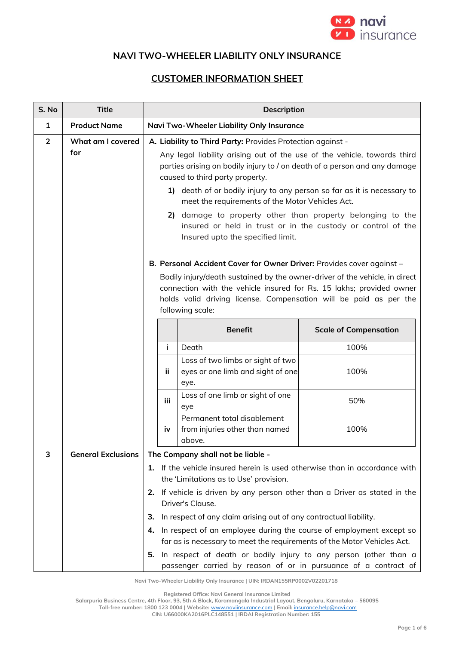

## **NAVI TWO-WHEELER LIABILITY ONLY INSURANCE**

## **CUSTOMER INFORMATION SHEET**

| S. No          | <b>Title</b>              | <b>Description</b>                                                                                                                                                                                                                                                                                |                                                                                |                              |  |  |
|----------------|---------------------------|---------------------------------------------------------------------------------------------------------------------------------------------------------------------------------------------------------------------------------------------------------------------------------------------------|--------------------------------------------------------------------------------|------------------------------|--|--|
| $\mathbf{1}$   | <b>Product Name</b>       |                                                                                                                                                                                                                                                                                                   | Navi Two-Wheeler Liability Only Insurance                                      |                              |  |  |
| $\overline{2}$ | What am I covered         | A. Liability to Third Party: Provides Protection against -                                                                                                                                                                                                                                        |                                                                                |                              |  |  |
|                | for                       | Any legal liability arising out of the use of the vehicle, towards third<br>parties arising on bodily injury to / on death of a person and any damage<br>caused to third party property.                                                                                                          |                                                                                |                              |  |  |
|                |                           | 1) death of or bodily injury to any person so far as it is necessary to<br>meet the requirements of the Motor Vehicles Act.                                                                                                                                                                       |                                                                                |                              |  |  |
|                |                           | 2) damage to property other than property belonging to the<br>insured or held in trust or in the custody or control of the<br>Insured upto the specified limit.                                                                                                                                   |                                                                                |                              |  |  |
|                |                           | B. Personal Accident Cover for Owner Driver: Provides cover against -<br>Bodily injury/death sustained by the owner-driver of the vehicle, in direct<br>connection with the vehicle insured for Rs. 15 lakhs; provided owner                                                                      |                                                                                |                              |  |  |
|                |                           | holds valid driving license. Compensation will be paid as per the<br>following scale:                                                                                                                                                                                                             |                                                                                |                              |  |  |
|                |                           |                                                                                                                                                                                                                                                                                                   | <b>Benefit</b>                                                                 | <b>Scale of Compensation</b> |  |  |
|                |                           | j.                                                                                                                                                                                                                                                                                                | Death                                                                          | 100%                         |  |  |
|                |                           | ji.                                                                                                                                                                                                                                                                                               | Loss of two limbs or sight of two<br>eyes or one limb and sight of one<br>eye. | 100%                         |  |  |
|                |                           | iii.                                                                                                                                                                                                                                                                                              | Loss of one limb or sight of one<br>eye                                        | 50%                          |  |  |
|                |                           | iv                                                                                                                                                                                                                                                                                                | Permanent total disablement<br>from injuries other than named<br>above.        | 100%                         |  |  |
| 3              | <b>General Exclusions</b> |                                                                                                                                                                                                                                                                                                   | The Company shall not be liable -                                              |                              |  |  |
|                |                           | 1. If the vehicle insured herein is used otherwise than in accordance with<br>the 'Limitations as to Use' provision.                                                                                                                                                                              |                                                                                |                              |  |  |
|                |                           | If vehicle is driven by any person other than a Driver as stated in the<br>2.<br>Driver's Clause.                                                                                                                                                                                                 |                                                                                |                              |  |  |
|                |                           | 3.                                                                                                                                                                                                                                                                                                | In respect of any claim arising out of any contractual liability.              |                              |  |  |
|                |                           | In respect of an employee during the course of employment except so<br>4.<br>far as is necessary to meet the requirements of the Motor Vehicles Act.<br>In respect of death or bodily injury to any person (other than a<br>5.<br>passenger carried by reason of or in pursuance of a contract of |                                                                                |                              |  |  |
|                |                           |                                                                                                                                                                                                                                                                                                   |                                                                                |                              |  |  |

**Navi Two-Wheeler Liability Only Insurance | UIN: IRDAN155RP0002V02201718**

**Registered Office: Navi General Insurance Limited**

**Salarpuria Business Centre, 4th Floor, 93, 5th A Block, Koramangala Industrial Layout, Bengaluru, Karnataka – 560095**

**Toll-free number: 1800 123 0004 | Website:** [www.naviinsurance.com](http://www.naviinsurance.com/) **| Email:** [insurance.help@navi.com](mailto:insurance.help@navi.com)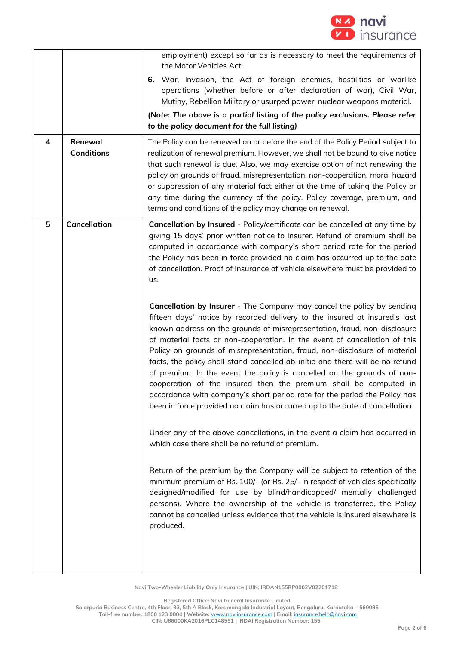

| 4 | Renewal<br><b>Conditions</b> | employment) except so far as is necessary to meet the requirements of<br>the Motor Vehicles Act.<br>War, Invasion, the Act of foreign enemies, hostilities or warlike<br>6.<br>operations (whether before or after declaration of war), Civil War,<br>Mutiny, Rebellion Military or usurped power, nuclear weapons material.<br>(Note: The above is a partial listing of the policy exclusions. Please refer<br>to the policy document for the full listing)<br>The Policy can be renewed on or before the end of the Policy Period subject to<br>realization of renewal premium. However, we shall not be bound to give notice<br>that such renewal is due. Also, we may exercise option of not renewing the<br>policy on grounds of fraud, misrepresentation, non-cooperation, moral hazard<br>or suppression of any material fact either at the time of taking the Policy or<br>any time during the currency of the policy. Policy coverage, premium, and<br>terms and conditions of the policy may change on renewal.                                                                                                                                                                                                                                                                                                                                                                                                                                                                                                                                                                                                                                                                                                                           |
|---|------------------------------|-----------------------------------------------------------------------------------------------------------------------------------------------------------------------------------------------------------------------------------------------------------------------------------------------------------------------------------------------------------------------------------------------------------------------------------------------------------------------------------------------------------------------------------------------------------------------------------------------------------------------------------------------------------------------------------------------------------------------------------------------------------------------------------------------------------------------------------------------------------------------------------------------------------------------------------------------------------------------------------------------------------------------------------------------------------------------------------------------------------------------------------------------------------------------------------------------------------------------------------------------------------------------------------------------------------------------------------------------------------------------------------------------------------------------------------------------------------------------------------------------------------------------------------------------------------------------------------------------------------------------------------------------------------------------------------------------------------------------------------------------------|
| 5 | <b>Cancellation</b>          | Cancellation by Insured - Policy/certificate can be cancelled at any time by<br>giving 15 days' prior written notice to Insurer. Refund of premium shall be<br>computed in accordance with company's short period rate for the period<br>the Policy has been in force provided no claim has occurred up to the date<br>of cancellation. Proof of insurance of vehicle elsewhere must be provided to<br>us.<br>Cancellation by Insurer - The Company may cancel the policy by sending<br>fifteen days' notice by recorded delivery to the insured at insured's last<br>known address on the grounds of misrepresentation, fraud, non-disclosure<br>of material facts or non-cooperation. In the event of cancellation of this<br>Policy on grounds of misrepresentation, fraud, non-disclosure of material<br>facts, the policy shall stand cancelled ab-initio and there will be no refund<br>of premium. In the event the policy is cancelled on the grounds of non-<br>cooperation of the insured then the premium shall be computed in<br>accordance with company's short period rate for the period the Policy has<br>been in force provided no claim has occurred up to the date of cancellation.<br>Under any of the above cancellations, in the event a claim has occurred in<br>which case there shall be no refund of premium.<br>Return of the premium by the Company will be subject to retention of the<br>minimum premium of Rs. 100/- (or Rs. 25/- in respect of vehicles specifically<br>designed/modified for use by blind/handicapped/ mentally challenged<br>persons). Where the ownership of the vehicle is transferred, the Policy<br>cannot be cancelled unless evidence that the vehicle is insured elsewhere is<br>produced. |

**Registered Office: Navi General Insurance Limited**

**Salarpuria Business Centre, 4th Floor, 93, 5th A Block, Koramangala Industrial Layout, Bengaluru, Karnataka – 560095**

**Toll-free number: 1800 123 0004 | Website:** [www.naviinsurance.com](http://www.naviinsurance.com/) **| Email:** [insurance.help@navi.com](mailto:insurance.help@navi.com)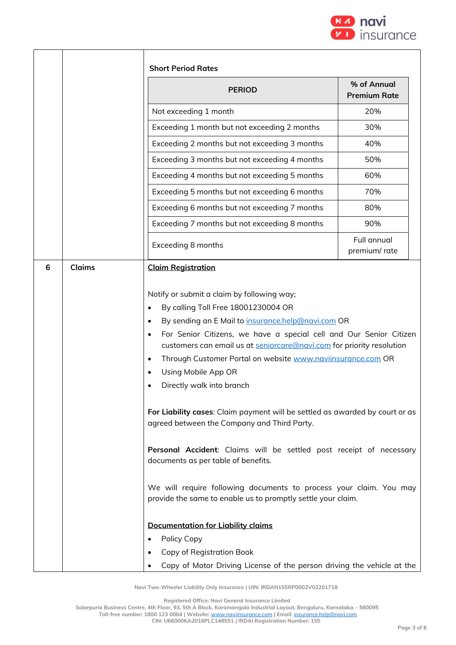

| <b>PERIOD</b>                                                                                                                                                                                                                                                                                                                                                                                                                                                                                                                                                                                                                                                                                                                                                                                                                                                               | % of Annual<br><b>Premium Rate</b> |
|-----------------------------------------------------------------------------------------------------------------------------------------------------------------------------------------------------------------------------------------------------------------------------------------------------------------------------------------------------------------------------------------------------------------------------------------------------------------------------------------------------------------------------------------------------------------------------------------------------------------------------------------------------------------------------------------------------------------------------------------------------------------------------------------------------------------------------------------------------------------------------|------------------------------------|
| Not exceeding 1 month                                                                                                                                                                                                                                                                                                                                                                                                                                                                                                                                                                                                                                                                                                                                                                                                                                                       | 20%                                |
| Exceeding 1 month but not exceeding 2 months                                                                                                                                                                                                                                                                                                                                                                                                                                                                                                                                                                                                                                                                                                                                                                                                                                | 30%                                |
| Exceeding 2 months but not exceeding 3 months                                                                                                                                                                                                                                                                                                                                                                                                                                                                                                                                                                                                                                                                                                                                                                                                                               | 40%                                |
| Exceeding 3 months but not exceeding 4 months                                                                                                                                                                                                                                                                                                                                                                                                                                                                                                                                                                                                                                                                                                                                                                                                                               | 50%                                |
| Exceeding 4 months but not exceeding 5 months                                                                                                                                                                                                                                                                                                                                                                                                                                                                                                                                                                                                                                                                                                                                                                                                                               | 60%                                |
| Exceeding 5 months but not exceeding 6 months                                                                                                                                                                                                                                                                                                                                                                                                                                                                                                                                                                                                                                                                                                                                                                                                                               | 70%                                |
| Exceeding 6 months but not exceeding 7 months                                                                                                                                                                                                                                                                                                                                                                                                                                                                                                                                                                                                                                                                                                                                                                                                                               | 80%                                |
| Exceeding 7 months but not exceeding 8 months                                                                                                                                                                                                                                                                                                                                                                                                                                                                                                                                                                                                                                                                                                                                                                                                                               | 90%                                |
| Exceeding 8 months                                                                                                                                                                                                                                                                                                                                                                                                                                                                                                                                                                                                                                                                                                                                                                                                                                                          | <b>Full annual</b><br>premium/rate |
| By calling Toll Free 18001230004 OR<br>By sending an E Mail to insurance.help@navi.com OR<br>$\bullet$<br>For Senior Citizens, we have a special cell and Our Senior Citizen<br>$\bullet$<br>customers can email us at seniorcare@navi.com for priority resolution<br>Through Customer Portal on website www.naviinsurance.com OR<br>$\bullet$<br>Using Mobile App OR<br>$\bullet$<br>Directly walk into branch<br>For Liability cases: Claim payment will be settled as awarded by court or as<br>agreed between the Company and Third Party.<br>Personal Accident: Claims will be settled post receipt of necessary<br>documents as per table of benefits.<br>We will require following documents to process your claim. You may<br>provide the same to enable us to promptly settle your claim.<br><b>Documentation for Liability claims</b><br>Policy Copy<br>$\bullet$ |                                    |

**Registered Office: Navi General Insurance Limited**

**Salarpuria Business Centre, 4th Floor, 93, 5th A Block, Koramangala Industrial Layout, Bengaluru, Karnataka – 560095**

**Toll-free number: 1800 123 0004 | Website:** [www.naviinsurance.com](http://www.naviinsurance.com/) **| Email:** [insurance.help@navi.com](mailto:insurance.help@navi.com)

**CIN: U66000KA2016PLC148551 | IRDAI Registration Number: 155**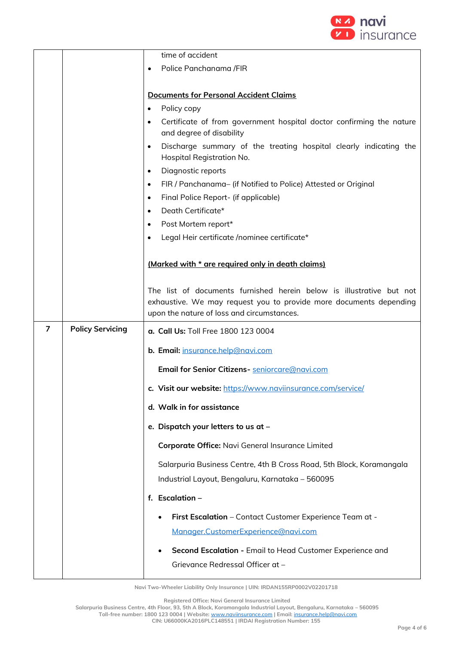

|                |                         | time of accident                                                                                              |  |  |  |
|----------------|-------------------------|---------------------------------------------------------------------------------------------------------------|--|--|--|
|                |                         | Police Panchanama /FIR<br>$\bullet$                                                                           |  |  |  |
|                |                         |                                                                                                               |  |  |  |
|                |                         | <b>Documents for Personal Accident Claims</b>                                                                 |  |  |  |
|                |                         | Policy copy<br>$\bullet$                                                                                      |  |  |  |
|                |                         | Certificate of from government hospital doctor confirming the nature<br>$\bullet$<br>and degree of disability |  |  |  |
|                |                         | Discharge summary of the treating hospital clearly indicating the<br>$\bullet$<br>Hospital Registration No.   |  |  |  |
|                |                         | Diagnostic reports<br>$\bullet$                                                                               |  |  |  |
|                |                         | FIR / Panchanama- (if Notified to Police) Attested or Original<br>$\bullet$                                   |  |  |  |
|                |                         | Final Police Report- (if applicable)<br>$\bullet$                                                             |  |  |  |
|                |                         | Death Certificate*<br>$\bullet$                                                                               |  |  |  |
|                |                         | Post Mortem report*<br>$\bullet$                                                                              |  |  |  |
|                |                         | Legal Heir certificate /nominee certificate*                                                                  |  |  |  |
|                |                         |                                                                                                               |  |  |  |
|                |                         | (Marked with * are required only in death claims)                                                             |  |  |  |
|                |                         |                                                                                                               |  |  |  |
|                |                         | The list of documents furnished herein below is illustrative but not                                          |  |  |  |
|                |                         | exhaustive. We may request you to provide more documents depending                                            |  |  |  |
|                |                         |                                                                                                               |  |  |  |
|                |                         | upon the nature of loss and circumstances.                                                                    |  |  |  |
| $\overline{7}$ | <b>Policy Servicing</b> | a. Call Us: Toll Free 1800 123 0004                                                                           |  |  |  |
|                |                         | b. Email: insurance.help@navi.com                                                                             |  |  |  |
|                |                         | Email for Senior Citizens- seniorcare@navi.com                                                                |  |  |  |
|                |                         | c. Visit our website: https://www.naviinsurance.com/service/                                                  |  |  |  |
|                |                         | d. Walk in for assistance                                                                                     |  |  |  |
|                |                         | e. Dispatch your letters to us at -                                                                           |  |  |  |
|                |                         | Corporate Office: Navi General Insurance Limited                                                              |  |  |  |
|                |                         | Salarpuria Business Centre, 4th B Cross Road, 5th Block, Koramangala                                          |  |  |  |
|                |                         |                                                                                                               |  |  |  |
|                |                         | Industrial Layout, Bengaluru, Karnataka - 560095                                                              |  |  |  |
|                |                         | f. Escalation -                                                                                               |  |  |  |
|                |                         | First Escalation - Contact Customer Experience Team at -                                                      |  |  |  |
|                |                         | Manager.CustomerExperience@navi.com                                                                           |  |  |  |
|                |                         |                                                                                                               |  |  |  |
|                |                         | Second Escalation - Email to Head Customer Experience and<br>Grievance Redressal Officer at -                 |  |  |  |

**Registered Office: Navi General Insurance Limited**

**Salarpuria Business Centre, 4th Floor, 93, 5th A Block, Koramangala Industrial Layout, Bengaluru, Karnataka – 560095 Toll-free number: 1800 123 0004 | Website:** [www.naviinsurance.com](http://www.naviinsurance.com/) **| Email:** [insurance.help@navi.com](mailto:insurance.help@navi.com) **CIN: U66000KA2016PLC148551 | IRDAI Registration Number: 155**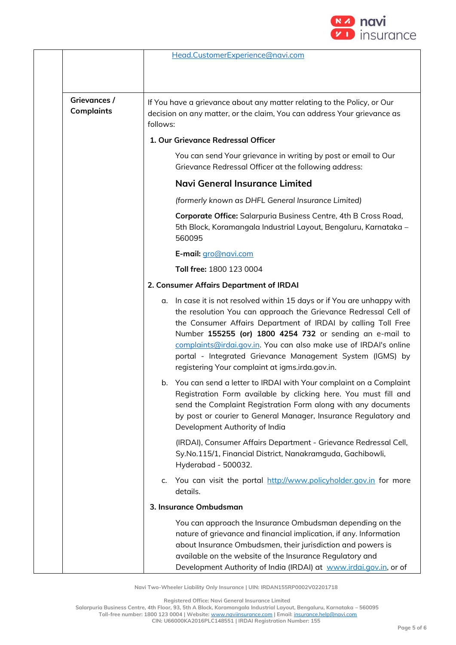

|                                   | Head.CustomerExperience@navi.com                                                                                                                                                                                                                                                                                                                                                                                                                               |  |  |
|-----------------------------------|----------------------------------------------------------------------------------------------------------------------------------------------------------------------------------------------------------------------------------------------------------------------------------------------------------------------------------------------------------------------------------------------------------------------------------------------------------------|--|--|
| Grievances /<br><b>Complaints</b> | If You have a grievance about any matter relating to the Policy, or Our<br>decision on any matter, or the claim, You can address Your grievance as<br>follows:                                                                                                                                                                                                                                                                                                 |  |  |
|                                   | 1. Our Grievance Redressal Officer                                                                                                                                                                                                                                                                                                                                                                                                                             |  |  |
|                                   | You can send Your grievance in writing by post or email to Our<br>Grievance Redressal Officer at the following address:                                                                                                                                                                                                                                                                                                                                        |  |  |
|                                   | Navi General Insurance Limited                                                                                                                                                                                                                                                                                                                                                                                                                                 |  |  |
|                                   | (formerly known as DHFL General Insurance Limited)                                                                                                                                                                                                                                                                                                                                                                                                             |  |  |
|                                   | Corporate Office: Salarpuria Business Centre, 4th B Cross Road,<br>5th Block, Koramangala Industrial Layout, Bengaluru, Karnataka -<br>560095                                                                                                                                                                                                                                                                                                                  |  |  |
|                                   | E-mail: gro@navi.com                                                                                                                                                                                                                                                                                                                                                                                                                                           |  |  |
|                                   | Toll free: 1800 123 0004                                                                                                                                                                                                                                                                                                                                                                                                                                       |  |  |
|                                   | 2. Consumer Affairs Department of IRDAI                                                                                                                                                                                                                                                                                                                                                                                                                        |  |  |
|                                   | In case it is not resolved within 15 days or if You are unhappy with<br>α.<br>the resolution You can approach the Grievance Redressal Cell of<br>the Consumer Affairs Department of IRDAI by calling Toll Free<br>Number 155255 (or) 1800 4254 732 or sending an e-mail to<br>complaints@irdai.gov.in. You can also make use of IRDAI's online<br>portal - Integrated Grievance Management System (IGMS) by<br>registering Your complaint at igms.irda.gov.in. |  |  |
|                                   | b. You can send a letter to IRDAI with Your complaint on a Complaint<br>Registration Form available by clicking here. You must fill and<br>send the Complaint Registration Form along with any documents<br>by post or courier to General Manager, Insurance Regulatory and<br>Development Authority of India                                                                                                                                                  |  |  |
|                                   | (IRDAI), Consumer Affairs Department - Grievance Redressal Cell,<br>Sy.No.115/1, Financial District, Nanakramguda, Gachibowli,<br>Hyderabad - 500032.                                                                                                                                                                                                                                                                                                          |  |  |
|                                   | c. You can visit the portal http://www.policyholder.gov.in for more<br>details.                                                                                                                                                                                                                                                                                                                                                                                |  |  |
|                                   | 3. Insurance Ombudsman                                                                                                                                                                                                                                                                                                                                                                                                                                         |  |  |
|                                   | You can approach the Insurance Ombudsman depending on the<br>nature of grievance and financial implication, if any. Information<br>about Insurance Ombudsmen, their jurisdiction and powers is<br>available on the website of the Insurance Regulatory and<br>Development Authority of India (IRDAI) at www.irdai.gov.in, or of                                                                                                                                |  |  |

**Registered Office: Navi General Insurance Limited**

**Salarpuria Business Centre, 4th Floor, 93, 5th A Block, Koramangala Industrial Layout, Bengaluru, Karnataka – 560095**

**Toll-free number: 1800 123 0004 | Website:** [www.naviinsurance.com](http://www.naviinsurance.com/) **| Email:** [insurance.help@navi.com](mailto:insurance.help@navi.com)